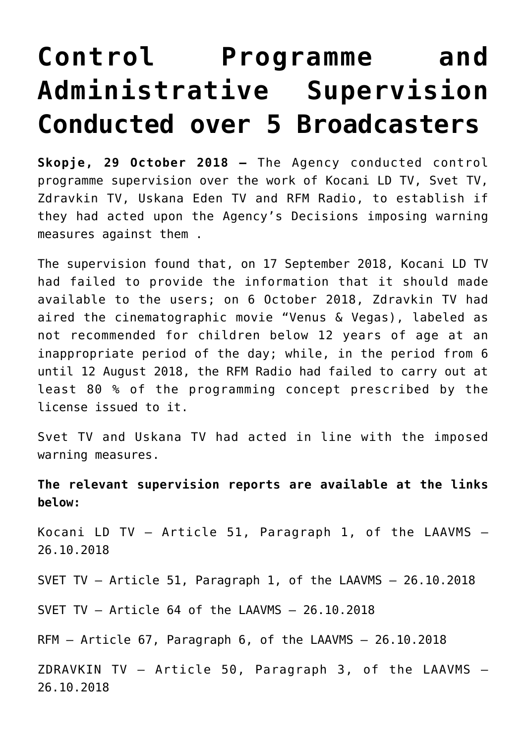## **[Control Programme and](https://avmu.mk/en/2018/11/12/control-programme-and-administrative-supervision-conducted-over-5-broadcasters/) [Administrative Supervision](https://avmu.mk/en/2018/11/12/control-programme-and-administrative-supervision-conducted-over-5-broadcasters/) [Conducted over 5 Broadcasters](https://avmu.mk/en/2018/11/12/control-programme-and-administrative-supervision-conducted-over-5-broadcasters/)**

**Skopje, 29 October 2018 –** The Agency conducted control programme supervision over the work of Kocani LD TV, Svet TV, Zdravkin TV, Uskana Eden TV and RFM Radio, to establish if they had acted upon the Agency's Decisions imposing warning measures against them .

The supervision found that, on 17 September 2018, Kocani LD TV had failed to provide the information that it should made available to the users; on 6 October 2018, Zdravkin TV had aired the cinematographic movie "Venus & Vegas), labeled as not recommended for children below 12 years of age at an inappropriate period of the day; while, in the period from 6 until 12 August 2018, the RFM Radio had failed to carry out at least 80 % of the programming concept prescribed by the license issued to it.

Svet TV and Uskana TV had acted in line with the imposed warning measures.

**The relevant supervision reports are available at the links below:**

[Kocani LD TV](http://avmu.mk/wp-content/uploads/2018/10/Kocani-LD-kontrolen-programski.pdf) – Article 51, Paragraph 1, of the LAAVMS – 26.10.2018

[SVET TV –](http://avmu.mk/wp-content/uploads/2018/10/TV-SVET-Kontrolen-administrativen.pdf) Article 51, Paragraph 1, of the LAAVMS – 26.10.2018

[SVET TV](http://avmu.mk/wp-content/uploads/2018/10/SVET-kontrolen-programski.pdf) – Article 64 of the LAAVMS – 26.10.2018

[RFM](http://avmu.mk/wp-content/uploads/2018/10/RFM-kontrolen-programski.pdf) – Article 67, Paragraph 6, of the LAAVMS – 26.10.2018

[ZDRAVKIN TV](http://avmu.mk/wp-content/uploads/2018/10/TV-SDRAVKIN-kontrolen-progrqamski.pdf) – Article 50, Paragraph 3, of the LAAVMS – 26.10.2018